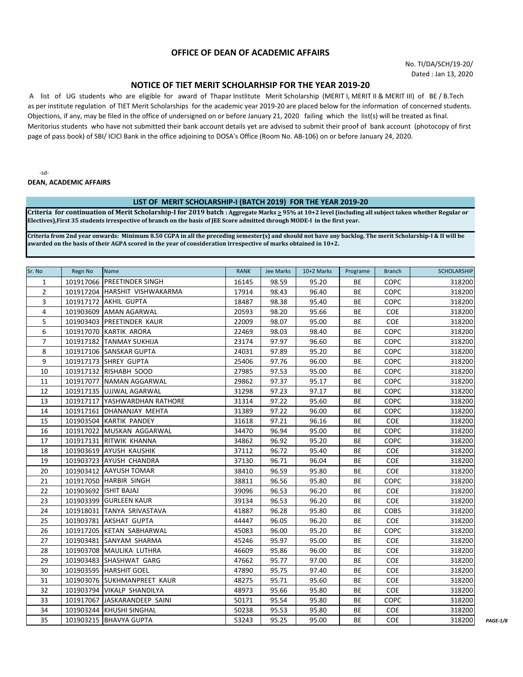# **OFFICE OF DEAN OF ACADEMIC AFFAIRS**

No. TI/DA/SCH/19-20/ Dated : Jan 13, 2020

# **NOTICE OF TIET MERIT SCHOLARHSIP FOR THE YEAR 2019-20**

 A list of UG students who are eligible for award of Thapar Instlitute Merit Scholarship (MERIT I, MERIT II & MERIT III) of BE / B.Tech as per institute regulation of TIET Merit Scholarships for the academic year 2019-20 are placed below for the information of concerned students. Objections, if any, may be filed in the office of undersigned on or before January 21, 2020 failing which the list(s) will be treated as final. Meritorius students who have not submitted their bank account details yet are advised to submit their proof of bank account (photocopy of first page of pass book) of SBI/ ICICI Bank in the office adjoining to DOSA's Office (Room No. AB-106) on or before January 24, 2020.

-sd-

**DEAN, ACADEMIC AFFAIRS**

#### **LIST OF MERIT SCHOLARSHIP-I (BATCH 2019) FOR THE YEAR 2019-20**

**Criteria for continuation of Merit Scholarship-I for 2019 batch : Aggregate Marks > 95% at 10+2 level (including all subject taken whether Regular or Electives),First 35 students irrespective of branch on the basis of JEE Score admitted through MODE-I in the first year.**

**Criteria from 2nd year onwards: Minimum 8.50 CGPA in all the preceding semester(s) and should not have any backlog. The merit Scholarship-I & II will be awarded on the basis of their AGPA scored in the year of consideration irrespective of marks obtained in 10+2.**

| Sr. No         | Regn No | Name                          | <b>RANK</b> | Jee Marks | 10+2 Marks | Programe  | <b>Branch</b> | <b>SCHOLARSHIP</b> |
|----------------|---------|-------------------------------|-------------|-----------|------------|-----------|---------------|--------------------|
| $\mathbf{1}$   |         | 101917066 PREETINDER SINGH    | 16145       | 98.59     | 95.20      | <b>BE</b> | COPC          | 318200             |
| $\overline{2}$ |         | 101917204 HARSHIT VISHWAKARMA | 17914       | 98.43     | 96.40      | <b>BE</b> | <b>COPC</b>   | 318200             |
| 3              |         | 101917172 AKHIL GUPTA         | 18487       | 98.38     | 95.40      | <b>BE</b> | <b>COPC</b>   | 318200             |
| $\overline{4}$ |         | 101903609 AMAN AGARWAL        | 20593       | 98.20     | 95.66      | BE        | <b>COE</b>    | 318200             |
| 5              |         | 101903403 PREETINDER KAUR     | 22009       | 98.07     | 95.00      | BE        | <b>COE</b>    | 318200             |
| 6              |         | 101917070 KARTIK ARORA        | 22469       | 98.03     | 98.40      | BE        | <b>COPC</b>   | 318200             |
| 7              |         | 101917182 TANMAY SUKHIJA      | 23174       | 97.97     | 96.60      | BE        | <b>COPC</b>   | 318200             |
| 8              |         | 101917106 SANSKAR GUPTA       | 24031       | 97.89     | 95.20      | BE        | <b>COPC</b>   | 318200             |
| 9              |         | 101917173 SHREY GUPTA         | 25406       | 97.76     | 96.00      | BE        | <b>COPC</b>   | 318200             |
| 10             |         | 101917132 RISHABH SOOD        | 27985       | 97.53     | 95.00      | BE        | <b>COPC</b>   | 318200             |
| 11             |         | 101917077 NAMAN AGGARWAL      | 29862       | 97.37     | 95.17      | BE        | <b>COPC</b>   | 318200             |
| 12             |         | 101917135 UJJWAL AGARWAL      | 31298       | 97.23     | 97.17      | BE        | <b>COPC</b>   | 318200             |
| 13             |         | 101917117 YASHWARDHAN RATHORE | 31314       | 97.22     | 95.60      | BE        | COPC          | 318200             |
| 14             |         | 101917161 DHANANJAY MEHTA     | 31389       | 97.22     | 96.00      | BE        | COPC          | 318200             |
| 15             |         | 101903504 KARTIK PANDEY       | 31618       | 97.21     | 96.16      | BE        | <b>COE</b>    | 318200             |
| 16             |         | 101917022 MUSKAN AGGARWAL     | 34470       | 96.94     | 95.00      | <b>BE</b> | <b>COPC</b>   | 318200             |
| 17             |         | 101917131 RITWIK KHANNA       | 34862       | 96.92     | 95.20      | BE        | <b>COPC</b>   | 318200             |
| 18             |         | 101903619 AYUSH KAUSHIK       | 37112       | 96.72     | 95.40      | BE        | <b>COE</b>    | 318200             |
| 19             |         | 101903723 AYUSH CHANDRA       | 37130       | 96.71     | 96.04      | BE        | <b>COE</b>    | 318200             |
| 20             |         | 101903412 AAYUSH TOMAR        | 38410       | 96.59     | 95.80      | BE        | <b>COE</b>    | 318200             |
| 21             |         | 101917050 HARBIR SINGH        | 38811       | 96.56     | 95.80      | BE        | <b>COPC</b>   | 318200             |
| 22             |         | 101903692   ISHIT BAJAJ       | 39096       | 96.53     | 96.20      | BE        | <b>COE</b>    | 318200             |
| 23             |         | 101903399 GURLEEN KAUR        | 39134       | 96.53     | 96.20      | BE        | <b>COE</b>    | 318200             |
| 24             |         | 101918031 TANYA SRIVASTAVA    | 41887       | 96.28     | 95.80      | BE        | <b>COBS</b>   | 318200             |
| 25             |         | 101903781 AKSHAT GUPTA        | 44447       | 96.05     | 96.20      | <b>BE</b> | <b>COE</b>    | 318200             |
| 26             |         | 101917205 KETAN SABHARWAL     | 45083       | 96.00     | 95.20      | <b>BE</b> | <b>COPC</b>   | 318200             |
| 27             |         | 101903481 SANYAM SHARMA       | 45246       | 95.97     | 95.00      | <b>BE</b> | <b>COE</b>    | 318200             |
| 28             |         | 101903708 MAULIKA LUTHRA      | 46609       | 95.86     | 96.00      | BE        | <b>COE</b>    | 318200             |
| 29             |         | 101903483 SHASHWAT GARG       | 47662       | 95.77     | 97.00      | BE        | <b>COE</b>    | 318200             |
| 30             |         | 101903595 HARSHIT GOEL        | 47890       | 95.75     | 97.40      | BE        | <b>COE</b>    | 318200             |
| 31             |         | 101903076 SUKHMANPREET KAUR   | 48275       | 95.71     | 95.60      | BE        | <b>COE</b>    | 318200             |
| 32             |         | 101903794 VIKALP SHANDILYA    | 48973       | 95.66     | 95.80      | ВE        | <b>COE</b>    | 318200             |
| 33             |         | 101917067 JASKARANDEEP SAINI  | 50171       | 95.54     | 95.80      | BE        | <b>COPC</b>   | 318200             |
| 34             |         | 101903244 KHUSHI SINGHAL      | 50238       | 95.53     | 95.80      | BE        | <b>COE</b>    | 318200             |
| 35             |         | 101903215 BHAVYA GUPTA        | 53243       | 95.25     | 95.00      | <b>BE</b> | COE           | 318200             |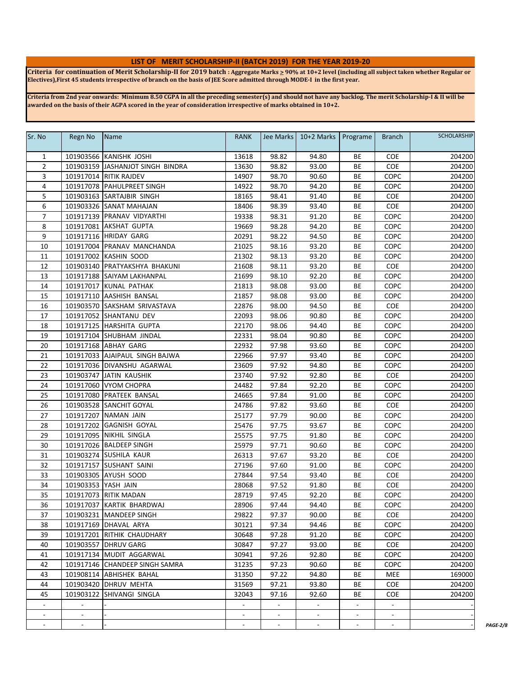## **LIST OF MERIT SCHOLARSHIP-II (BATCH 2019) FOR THE YEAR 2019-20**

**Criteria for continuation of Merit Scholarship-II for 2019 batch : Aggregate Marks > 90% at 10+2 level (including all subject taken whether Regular or Electives),First 45 students irrespective of branch on the basis of JEE Score admitted through MODE-I in the first year.**

**Criteria from 2nd year onwards: Minimum 8.50 CGPA in all the preceding semester(s) and should not have any backlog. The merit Scholarship-I & II will be awarded on the basis of their AGPA scored in the year of consideration irrespective of marks obtained in 10+2.**

| Sr. No                   | Regn No                  | Name                             | RANK           |                          | Jee Marks   10+2 Marks   Programe |                          | <b>Branch</b>            | <b>SCHOLARSHIP</b> |                 |
|--------------------------|--------------------------|----------------------------------|----------------|--------------------------|-----------------------------------|--------------------------|--------------------------|--------------------|-----------------|
| $\mathbf{1}$             |                          | 101903566 KANISHK JOSHI          | 13618          | 98.82                    | 94.80                             | BE                       | <b>COE</b>               | 204200             |                 |
| $\overline{2}$           |                          | 101903159 JASHANJOT SINGH BINDRA | 13630          | 98.82                    | 93.00                             | BE                       | COE                      | 204200             |                 |
| 3                        |                          | 101917014 RITIK RAJDEV           | 14907          | 98.70                    | 90.60                             | BE                       | COPC                     | 204200             |                 |
| 4                        |                          | 101917078 PAHULPREET SINGH       | 14922          | 98.70                    | 94.20                             | BE                       | COPC                     | 204200             |                 |
| 5                        |                          | 101903163 SARTAJBIR SINGH        | 18165          | 98.41                    | 91.40                             | BE                       | <b>COE</b>               | 204200             |                 |
| 6                        |                          | 101903326 SANAT MAHAJAN          | 18406          | 98.39                    | 93.40                             | BE                       | COE                      | 204200             |                 |
| $\overline{7}$           |                          | 101917139 PRANAV VIDYARTHI       | 19338          | 98.31                    | 91.20                             | BE                       | COPC                     | 204200             |                 |
| 8                        |                          | 101917081 AKSHAT GUPTA           | 19669          | 98.28                    | 94.20                             | BE                       | COPC                     | 204200             |                 |
| 9                        |                          | 101917116 HRIDAY GARG            | 20291          | 98.22                    | 94.50                             | BE                       | <b>COPC</b>              | 204200             |                 |
| 10                       |                          | 101917004 PRANAV MANCHANDA       | 21025          | 98.16                    | 93.20                             | BE                       | COPC                     | 204200             |                 |
| 11                       |                          | 101917002 KASHIN SOOD            | 21302          | 98.13                    | 93.20                             | BE                       | COPC                     | 204200             |                 |
| 12                       |                          | 101903140 PRATYAKSHYA BHAKUNI    | 21608          | 98.11                    | 93.20                             | BE                       | <b>COE</b>               | 204200             |                 |
| 13                       |                          | 101917188 SAIYAM LAKHANPAL       | 21699          | 98.10                    | 92.20                             | BE                       | COPC                     | 204200             |                 |
| 14                       |                          | 101917017 KUNAL PATHAK           | 21813          | 98.08                    | 93.00                             | BE                       | <b>COPC</b>              | 204200             |                 |
| 15                       |                          | 101917110 AASHISH BANSAL         | 21857          | 98.08                    | 93.00                             | ВE                       | <b>COPC</b>              | 204200             |                 |
| 16                       |                          | 101903570 SAKSHAM SRIVASTAVA     | 22876          | 98.00                    | 94.50                             | BE                       | <b>COE</b>               | 204200             |                 |
| 17                       |                          | 101917052 SHANTANU DEV           | 22093          | 98.06                    | 90.80                             | BE                       | <b>COPC</b>              | 204200             |                 |
| 18                       |                          | 101917125  HARSHITA GUPTA        | 22170          | 98.06                    | 94.40                             | BE                       | COPC                     | 204200             |                 |
| 19                       |                          | 101917104 SHUBHAM JINDAL         | 22331          | 98.04                    | 90.80                             | BE                       | COPC                     | 204200             |                 |
| 20                       |                          | 101917168 ABHAY GARG             | 22932          | 97.98                    | 93.60                             | BE                       | COPC                     | 204200             |                 |
| 21                       |                          | 101917033 AJAIPAUL SINGH BAJWA   | 22966          | 97.97                    | 93.40                             | BE                       | COPC                     | 204200             |                 |
| 22                       |                          | 101917036 DIVANSHU AGARWAL       | 23609          | 97.92                    | 94.80                             | ВE                       | <b>COPC</b>              | 204200             |                 |
| 23                       |                          | 101903747 JATIN KAUSHIK          | 23740          | 97.92                    | 92.80                             | BE                       | COE                      | 204200             |                 |
| 24                       |                          | 101917060 VYOM CHOPRA            | 24482          | 97.84                    | 92.20                             | ВE                       | COPC                     | 204200             |                 |
| 25                       |                          | 101917080 PRATEEK BANSAL         | 24665          | 97.84                    | 91.00                             | BE                       | COPC                     | 204200             |                 |
| 26                       |                          | 101903528 SANCHIT GOYAL          | 24786          | 97.82                    | 93.60                             | BE                       | COE                      | 204200             |                 |
| 27                       |                          | 101917207 NAMAN JAIN             | 25177          | 97.79                    | 90.00                             | BE                       | COPC                     | 204200             |                 |
| 28                       |                          | 101917202 GAGNISH GOYAL          | 25476          | 97.75                    | 93.67                             | BE                       | COPC                     | 204200             |                 |
| 29                       |                          | 101917095 NIKHIL SINGLA          | 25575          | 97.75                    | 91.80                             | BE                       | COPC                     | 204200             |                 |
| 30                       |                          | 101917026 BALDEEP SINGH          | 25979          | 97.71                    | 90.60                             | BE                       | COPC                     | 204200             |                 |
| 31                       |                          | 101903274 SUSHILA KAUR           | 26313          | 97.67                    | 93.20                             | BE                       | COE                      | 204200             |                 |
| 32                       |                          | 101917157 SUSHANT SAINI          | 27196          | 97.60                    | 91.00                             | BE                       | <b>COPC</b>              | 204200             |                 |
| 33                       |                          | 101903305 AYUSH SOOD             | 27844          | 97.54                    | 93.40                             | BE                       | COE                      | 204200             |                 |
| 34                       | 101903353 YASH JAIN      |                                  | 28068          | 97.52                    | 91.80                             | BE                       | <b>COE</b>               | 204200             |                 |
| 35                       |                          | 101917073 RITIK MADAN            | 28719          | 97.45                    | 92.20                             | BE                       | COPC                     | 204200             |                 |
| 36                       |                          | 101917037 KARTIK BHARDWAJ        | 28906          | 97.44                    | 94.40                             | BE                       | COPC                     | 204200             |                 |
| $\overline{37}$          |                          | 101903231 MANDEEP SINGH          | 29822          | 97.37                    | 90.00                             | BE                       | COE                      | 204200             |                 |
| 38                       |                          | 101917169   DHAVAL ARYA          | 30121          | 97.34                    | 94.46                             | BE                       | <b>COPC</b>              | 204200             |                 |
| 39                       |                          | 101917201 RITHIK CHAUDHARY       | 30648          | 97.28                    | 91.20                             | BE                       | COPC                     | 204200             |                 |
| 40                       |                          | 101903557 DHRUV GARG             | 30847          | 97.27                    | 93.00                             | BE                       | <b>COE</b>               | 204200             |                 |
| 41                       |                          | 101917134 MUDIT AGGARWAL         | 30941          | 97.26                    | 92.80                             | ВE                       | COPC                     | 204200             |                 |
| 42                       |                          | 101917146 CHANDEEP SINGH SAMRA   | 31235          | 97.23                    | 90.60                             | BE                       | COPC                     | 204200             |                 |
| 43                       |                          | 101908114 ABHISHEK BAHAL         | 31350          | 97.22                    | 94.80                             | BE                       | MEE                      | 169000             |                 |
| 44                       |                          | 101903420 DHRUV MEHTA            | 31569          | 97.21                    | 93.80                             | BE                       | COE                      | 204200             |                 |
| 45                       |                          | 101903122 SHIVANGI SINGLA        | 32043          | 97.16                    | 92.60                             | ВE                       | COE                      | 204200             |                 |
| $\sim$                   | $\blacksquare$           |                                  | $\blacksquare$ | $\overline{\phantom{a}}$ | $\blacksquare$                    |                          | $\overline{\phantom{a}}$ |                    |                 |
| $\sim$                   | $\sim$                   |                                  | $\sim$         | $\blacksquare$           | $\blacksquare$                    | $\overline{\phantom{a}}$ | $\blacksquare$           |                    |                 |
| $\overline{\phantom{a}}$ | $\overline{\phantom{a}}$ |                                  | $\blacksquare$ | $\blacksquare$           | $\overline{\phantom{a}}$          | $\overline{\phantom{a}}$ | $\overline{\phantom{a}}$ |                    | <b>PAGE-2/8</b> |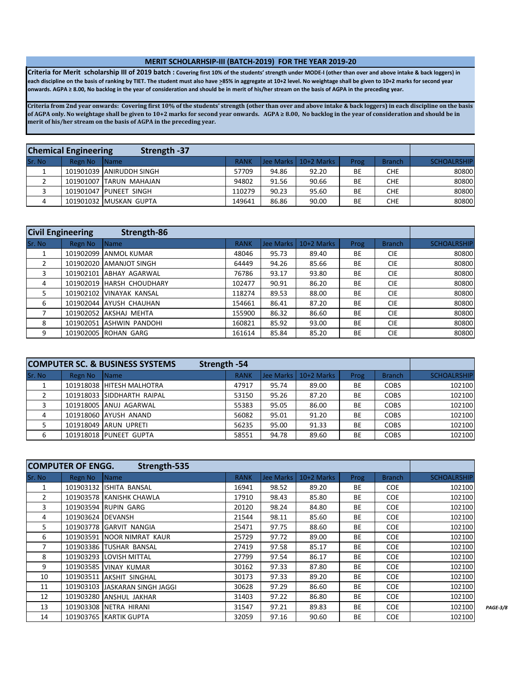#### **MERIT SCHOLARHSIP-III (BATCH-2019) FOR THE YEAR 2019-20**

**Criteria for Merit scholarship III of 2019 batch : Covering first 10% of the students' strength under MODE-I (other than over and above intake & back loggers) in each discipline on the basis of ranking by TIET. The student must also have >85% in aggregate at 10+2 level. No weightage shall be given to 10+2 marks for second year onwards. AGPA ≥ 8.00, No backlog in the year of consideration and should be in merit of his/her stream on the basis of AGPA in the preceding year.**

**Criteria from 2nd year onwards: Covering first 10% of the students' strength (other than over and above intake & back loggers) in each discipline on the basis of AGPA only. No weightage shall be given to 10+2 marks for second year onwards. AGPA ≥ 8.00, No backlog in the year of consideration and should be in merit of his/her stream on the basis of AGPA in the preceding year.**

|        | <b>Chemical Engineering</b> | Strength -37             |             |       |                         |      |               |                    |
|--------|-----------------------------|--------------------------|-------------|-------|-------------------------|------|---------------|--------------------|
| Sr. No | Regn No                     | Name                     | <b>RANK</b> |       | lJee Marks   10+2 Marks | Prog | <b>Branch</b> | <b>SCHOALRSHIP</b> |
|        |                             | 101901039 ANIRUDDH SINGH | 57709       | 94.86 | 92.20                   | BE   | <b>CHE</b>    | 80800              |
|        |                             | 101901007 TARUN MAHAJAN  | 94802       | 91.56 | 90.66                   | ВE   | CHE           | 80800              |
|        |                             | 101901047 PUNEET SINGH   | 110279      | 90.23 | 95.60                   | BE   | <b>CHE</b>    | 80800              |
|        |                             | 101901032 MUSKAN GUPTA   | 149641      | 86.86 | 90.00                   | ВE   | CHE           | 80800              |

| <b>Civil Engineering</b> |           | Strength-86              |             |           |            |           |               |                    |
|--------------------------|-----------|--------------------------|-------------|-----------|------------|-----------|---------------|--------------------|
| Sr. No                   | Regn No   | <b>Name</b>              | <b>RANK</b> | Jee Marks | 10+2 Marks | Prog      | <b>Branch</b> | <b>SCHOALRSHIP</b> |
|                          | 101902099 | <b>JANMOL KUMAR</b>      | 48046       | 95.73     | 89.40      | <b>BE</b> | <b>CIE</b>    | 80800              |
| 2                        |           | 101902020 LAMANJOT SINGH | 64449       | 94.26     | 85.66      | BE        | <b>CIE</b>    | 80800              |
| 3                        | 101902101 | ABHAY AGARWAL            | 76786       | 93.17     | 93.80      | <b>BE</b> | <b>CIE</b>    | 80800              |
| 4                        | 101902019 | <b>HARSH CHOUDHARY</b>   | 102477      | 90.91     | 86.20      | BE        | <b>CIE</b>    | 80800              |
| 5.                       |           | 101902102 VINAYAK KANSAL | 118274      | 89.53     | 88.00      | <b>BE</b> | <b>CIE</b>    | 80800              |
| 6                        |           | 101902044 AYUSH CHAUHAN  | 154661      | 86.41     | 87.20      | <b>BE</b> | <b>CIE</b>    | 80800              |
|                          |           | 101902052 AKSHAJ MEHTA   | 155900      | 86.32     | 86.60      | BE        | <b>CIE</b>    | 80800              |
| 8                        |           | 101902051 ASHWIN PANDOHI | 160821      | 85.92     | 93.00      | <b>BE</b> | <b>CIE</b>    | 80800              |
| q                        |           | 101902005 ROHAN GARG     | 161614      | 85.84     | 85.20      | <b>BE</b> | <b>CIE</b>    | 80800              |

|        |         | <b>COMPUTER SC. &amp; BUSINESS SYSTEMS</b> | Strength -54 |       |                        |           |               |                    |
|--------|---------|--------------------------------------------|--------------|-------|------------------------|-----------|---------------|--------------------|
| Sr. No | Regn No | <i><b>Name</b></i>                         | <b>RANK</b>  |       | Jee Marks   10+2 Marks | Prog      | <b>Branch</b> | <b>SCHOALRSHIP</b> |
|        |         | 101918038 HITESH MALHOTRA                  | 47917        | 95.74 | 89.00                  | ВE        | <b>COBS</b>   | 102100             |
|        |         | 101918033 SIDDHARTH RAIPAL                 | 53150        | 95.26 | 87.20                  | BE        | <b>COBS</b>   | 102100             |
|        |         | 101918005 ANUJ AGARWAL                     | 55383        | 95.05 | 86.00                  | BE        | <b>COBS</b>   | 102100             |
| 4      |         | 101918060 AYUSH ANAND                      | 56082        | 95.01 | 91.20                  | <b>BE</b> | <b>COBS</b>   | 102100             |
|        |         | 101918049 ARUN UPRETI                      | 56235        | 95.00 | 91.33                  | BE        | <b>COBS</b>   | 102100             |
| 6      |         | 101918018 PUNEET GUPTA                     | 58551        | 94.78 | 89.60                  | BE        | <b>COBS</b>   | 102100             |

|                | <b>COMPUTER OF ENGG.</b> | Strength-535                    |             |           |            |           |               |                    |                 |
|----------------|--------------------------|---------------------------------|-------------|-----------|------------|-----------|---------------|--------------------|-----------------|
| Sr. No         | Regn No                  | <b>Name</b>                     | <b>RANK</b> | Jee Marks | 10+2 Marks | Prog      | <b>Branch</b> | <b>SCHOALRSHIP</b> |                 |
| $\mathbf{1}$   |                          | 101903132 ISHITA BANSAL         | 16941       | 98.52     | 89.20      | BE        | <b>COE</b>    | 102100             |                 |
| $\overline{2}$ |                          | 101903578 KANISHK CHAWLA        | 17910       | 98.43     | 85.80      | BE        | <b>COE</b>    | 102100             |                 |
| 3              |                          | 101903594 RUPIN GARG            | 20120       | 98.24     | 84.80      | <b>BE</b> | <b>COE</b>    | 102100             |                 |
| 4              | 101903624 DEVANSH        |                                 | 21544       | 98.11     | 85.60      | BE        | <b>COE</b>    | 102100             |                 |
| 5              |                          | 101903778 GARVIT NANGIA         | 25471       | 97.75     | 88.60      | <b>BE</b> | <b>COE</b>    | 102100             |                 |
| 6              |                          | 101903591 NOOR NIMRAT KAUR      | 25729       | 97.72     | 89.00      | BE        | <b>COE</b>    | 102100             |                 |
| 7              |                          | 101903386 TUSHAR BANSAL         | 27419       | 97.58     | 85.17      | <b>BE</b> | <b>COE</b>    | 102100             |                 |
| 8              |                          | 101903293 LOVISH MITTAL         | 27799       | 97.54     | 86.17      | BE        | <b>COE</b>    | 102100             |                 |
| 9              |                          | 101903585 VINAY KUMAR           | 30162       | 97.33     | 87.80      | <b>BE</b> | <b>COE</b>    | 102100             |                 |
| 10             |                          | 101903511 AKSHIT SINGHAL        | 30173       | 97.33     | 89.20      | <b>BE</b> | <b>COE</b>    | 102100             |                 |
| 11             |                          | 101903103 JJASKARAN SINGH JAGGI | 30628       | 97.29     | 86.60      | BE        | <b>COE</b>    | 102100             |                 |
| 12             |                          | 101903280 ANSHUL JAKHAR         | 31403       | 97.22     | 86.80      | <b>BE</b> | <b>COE</b>    | 102100             |                 |
| 13             |                          | 101903308 NETRA HIRANI          | 31547       | 97.21     | 89.83      | <b>BE</b> | <b>COE</b>    | 102100             | <b>PAGE-3/8</b> |
| 14             |                          | 101903765 KARTIK GUPTA          | 32059       | 97.16     | 90.60      | <b>BE</b> | <b>COE</b>    | 102100             |                 |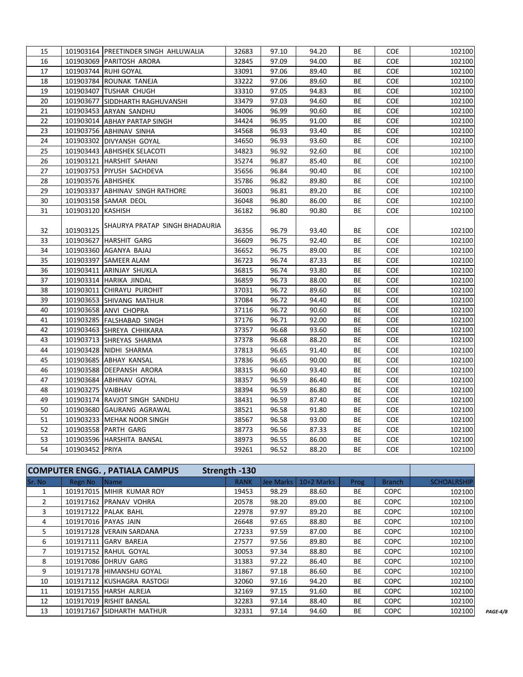| 15 |                    | 101903164 PREETINDER SINGH AHLUWALIA | 32683 | 97.10 | 94.20 | ВE | <b>COE</b> | 102100 |
|----|--------------------|--------------------------------------|-------|-------|-------|----|------------|--------|
| 16 |                    | 101903069 PARITOSH ARORA             | 32845 | 97.09 | 94.00 | ВE | COE        | 102100 |
| 17 |                    | 101903744 RUHI GOYAL                 | 33091 | 97.06 | 89.40 | ВE | <b>COE</b> | 102100 |
| 18 |                    | 101903784 ROUNAK TANEJA              | 33222 | 97.06 | 89.60 | ВE | <b>COE</b> | 102100 |
| 19 |                    | 101903407 TUSHAR CHUGH               | 33310 | 97.05 | 94.83 | ВE | COE        | 102100 |
| 20 |                    | 101903677 SIDDHARTH RAGHUVANSHI      | 33479 | 97.03 | 94.60 | ВE | COE        | 102100 |
| 21 |                    | 101903453 ARYAN SANDHU               | 34006 | 96.99 | 90.60 | ВE | <b>COE</b> | 102100 |
| 22 |                    | 101903014 ABHAY PARTAP SINGH         | 34424 | 96.95 | 91.00 | ВE | <b>COE</b> | 102100 |
| 23 |                    | 101903756 ABHINAV SINHA              | 34568 | 96.93 | 93.40 | ВE | <b>COE</b> | 102100 |
| 24 |                    | 101903302 DIVYANSH GOYAL             | 34650 | 96.93 | 93.60 | ВE | <b>COE</b> | 102100 |
| 25 |                    | 101903443   ABHISHEK SELACOTI        | 34823 | 96.92 | 92.60 | ВE | <b>COE</b> | 102100 |
| 26 |                    | 101903121 HARSHIT SAHANI             | 35274 | 96.87 | 85.40 | ВE | <b>COE</b> | 102100 |
| 27 |                    | 101903753 PIYUSH SACHDEVA            | 35656 | 96.84 | 90.40 | ВE | <b>COE</b> | 102100 |
| 28 | 101903576 ABHISHEK |                                      | 35786 | 96.82 | 89.80 | ВE | <b>COE</b> | 102100 |
| 29 |                    | 101903337 ABHINAV SINGH RATHORE      | 36003 | 96.81 | 89.20 | ВE | <b>COE</b> | 102100 |
| 30 |                    | 101903158 SAMAR DEOL                 | 36048 | 96.80 | 86.00 | ВE | <b>COE</b> | 102100 |
| 31 | 101903120 KASHISH  |                                      | 36182 | 96.80 | 90.80 | BE | <b>COE</b> | 102100 |
|    |                    |                                      |       |       |       |    |            |        |
| 32 | 101903125          | SHAURYA PRATAP SINGH BHADAURIA       | 36356 | 96.79 | 93.40 | ВE | <b>COE</b> | 102100 |
| 33 |                    | 101903627 HARSHIT GARG               | 36609 | 96.75 | 92.40 | ВE | <b>COE</b> | 102100 |
| 34 |                    | 101903360 AGANYA BAJAJ               | 36652 | 96.75 | 89.00 | BE | COE        | 102100 |
| 35 |                    | 101903397   SAMEER ALAM              | 36723 | 96.74 | 87.33 | ВE | <b>COE</b> | 102100 |
| 36 |                    | 101903411 ARINJAY SHUKLA             | 36815 | 96.74 | 93.80 | ВE | <b>COE</b> | 102100 |
| 37 |                    | 101903314 HARIKA JINDAL              | 36859 | 96.73 | 88.00 | BE | <b>COE</b> | 102100 |
| 38 |                    | 101903011 CHIRAYU PUROHIT            | 37031 | 96.72 | 89.60 | ВE | COE        | 102100 |
| 39 |                    | 101903653 SHIVANG MATHUR             | 37084 | 96.72 | 94.40 | ВE | <b>COE</b> | 102100 |
| 40 |                    | 101903658 ANVI CHOPRA                | 37116 | 96.72 | 90.60 | ВE | <b>COE</b> | 102100 |
| 41 |                    | 101903285 FALSHABAD SINGH            | 37176 | 96.71 | 92.00 | ВE | <b>COE</b> | 102100 |
| 42 |                    | 101903463 SHREYA CHHIKARA            | 37357 | 96.68 | 93.60 | BЕ | <b>COE</b> | 102100 |
| 43 |                    | 101903713 SHREYAS SHARMA             | 37378 | 96.68 | 88.20 | BE | <b>COE</b> | 102100 |
| 44 |                    | 101903428 NIDHI SHARMA               | 37813 | 96.65 | 91.40 | ВE | <b>COE</b> | 102100 |
| 45 |                    | 101903685 ABHAY KANSAL               | 37836 | 96.65 | 90.00 | ВE | <b>COE</b> | 102100 |
| 46 |                    | 101903588 DEEPANSH ARORA             | 38315 | 96.60 | 93.40 | ВE | <b>COE</b> | 102100 |
| 47 |                    | 101903684 ABHINAV GOYAL              | 38357 | 96.59 | 86.40 | ВE | <b>COE</b> | 102100 |
| 48 | 101903275 VAIBHAV  |                                      | 38394 | 96.59 | 86.80 | ВE | <b>COE</b> | 102100 |
| 49 |                    | 101903174 RAVJOT SINGH SANDHU        | 38431 | 96.59 | 87.40 | ВE | <b>COE</b> | 102100 |
| 50 |                    | 101903680 GAURANG AGRAWAL            | 38521 | 96.58 | 91.80 | ВE | COE        | 102100 |
| 51 |                    | 101903233 MEHAK NOOR SINGH           | 38567 | 96.58 | 93.00 | ВE | COE        | 102100 |
| 52 |                    | 101903558 PARTH GARG                 | 38773 | 96.56 | 87.33 | ВE | <b>COE</b> | 102100 |
| 53 |                    | 101903596 HARSHITA BANSAL            | 38973 | 96.55 | 86.00 | ВE | <b>COE</b> | 102100 |
| 54 | 101903452 PRIYA    |                                      | 39261 | 96.52 | 88.20 | BE | <b>COE</b> | 102100 |

|               |         | <b>COMPUTER ENGG., PATIALA CAMPUS</b> | Strength -130 |           |            |           |               |                    |
|---------------|---------|---------------------------------------|---------------|-----------|------------|-----------|---------------|--------------------|
| Sr. No        | Regn No | <b>Name</b>                           | <b>RANK</b>   | Jee Marks | 10+2 Marks | Prog      | <b>Branch</b> | <b>SCHOALRSHIP</b> |
| 1             |         | 101917015 MIHIR KUMAR ROY             | 19453         | 98.29     | 88.60      | <b>BE</b> | <b>COPC</b>   | 102100             |
| $\mathcal{P}$ |         | 101917162 PRANAV VOHRA                | 20578         | 98.20     | 89.00      | <b>BE</b> | <b>COPC</b>   | 102100             |
| 3             |         | 101917122 PALAK BAHL                  | 22978         | 97.97     | 89.20      | <b>BE</b> | <b>COPC</b>   | 102100             |
| 4             |         | 101917016 PAYAS JAIN                  | 26648         | 97.65     | 88.80      | <b>BE</b> | <b>COPC</b>   | 102100             |
| 5.            |         | 101917128 VERAIN SARDANA              | 27233         | 97.59     | 87.00      | <b>BE</b> | <b>COPC</b>   | 102100             |
| 6             |         | 101917111 GARV BAREJA                 | 27577         | 97.56     | 89.80      | <b>BE</b> | <b>COPC</b>   | 102100             |
|               |         | 101917152 RAHUL GOYAL                 | 30053         | 97.34     | 88.80      | BE        | <b>COPC</b>   | 102100             |
| 8             |         | 101917086 DHRUV GARG                  | 31383         | 97.22     | 86.40      | <b>BE</b> | <b>COPC</b>   | 102100             |
| 9             |         | 101917178 HIMANSHU GOYAL              | 31867         | 97.18     | 86.60      | <b>BE</b> | <b>COPC</b>   | 102100             |
| 10            |         | 101917112 KUSHAGRA RASTOGI            | 32060         | 97.16     | 94.20      | BE        | <b>COPC</b>   | 102100             |
| 11            |         | 101917155 HARSH ALREJA                | 32169         | 97.15     | 91.60      | BE        | <b>COPC</b>   | 102100             |
| 12            |         | 101917019 RISHIT BANSAL               | 32283         | 97.14     | 88.40      | BE        | <b>COPC</b>   | 102100             |
| 13            |         | 101917167 SIDHARTH MATHUR             | 32331         | 97.14     | 94.60      | BE        | <b>COPC</b>   | 102100             |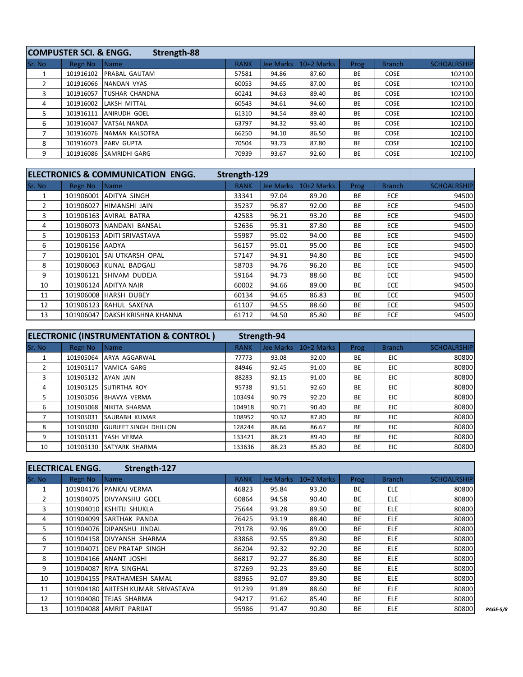|        | <b>COMPUSTER SCI. &amp; ENGG.</b> | Strength-88           |             |           |            |           |               |                    |
|--------|-----------------------------------|-----------------------|-------------|-----------|------------|-----------|---------------|--------------------|
| Sr. No | Regn No                           | <b>Name</b>           | <b>RANK</b> | Jee Marks | 10+2 Marks | Prog      | <b>Branch</b> | <b>SCHOALRSHIP</b> |
|        | 101916102                         | <b>PRABAL GAUTAM</b>  | 57581       | 94.86     | 87.60      | <b>BE</b> | <b>COSE</b>   | 102100             |
|        | 101916066                         | NANDAN VYAS           | 60053       | 94.65     | 87.00      | <b>BE</b> | <b>COSE</b>   | 102100             |
| 3      | 101916057                         | <b>TUSHAR CHANDNA</b> | 60241       | 94.63     | 89.40      | <b>BE</b> | <b>COSE</b>   | 102100             |
| 4      | 101916002                         | <b>LAKSH MITTAL</b>   | 60543       | 94.61     | 94.60      | <b>BE</b> | <b>COSE</b>   | 102100             |
| 5.     | 101916111                         | <b>ANIRUDH GOEL</b>   | 61310       | 94.54     | 89.40      | <b>BE</b> | COSE          | 102100             |
| 6      | 101916047                         | VATSAL NANDA          | 63797       | 94.32     | 93.40      | <b>BE</b> | <b>COSE</b>   | 102100             |
|        | 101916076                         | NAMAN KALSOTRA        | 66250       | 94.10     | 86.50      | <b>BE</b> | <b>COSE</b>   | 102100             |
| 8      | 101916073                         | <b>PARV GUPTA</b>     | 70504       | 93.73     | 87.80      | <b>BE</b> | <b>COSE</b>   | 102100             |
| 9      | 101916086                         | <b>SAMRIDHI GARG</b>  | 70939       | 93.67     | 92.60      | <b>BE</b> | <b>COSE</b>   | 102100             |

|        |                 | ELECTRONICS & COMMUNICATION ENGG. | Strength-129 |           |              |           |               |                    |
|--------|-----------------|-----------------------------------|--------------|-----------|--------------|-----------|---------------|--------------------|
| Sr. No | Regn No         | <i><b>Name</b></i>                | <b>RANK</b>  | Jee Marks | $10+2$ Marks | Prog      | <b>Branch</b> | <b>SCHOALRSHIP</b> |
|        | 101906001       | LADITYA SINGH                     | 33341        | 97.04     | 89.20        | BE        | <b>ECE</b>    | 94500              |
| 2      |                 | 101906027 HIMANSHI JAIN           | 35237        | 96.87     | 92.00        | BE        | <b>ECE</b>    | 94500              |
| 3      |                 | 101906163 AVIRAL BATRA            | 42583        | 96.21     | 93.20        | BE        | <b>ECE</b>    | 94500              |
| 4      |                 | 101906073 NANDANI BANSAL          | 52636        | 95.31     | 87.80        | BE        | <b>ECE</b>    | 94500              |
| 5      |                 | 101906153 ADITI SRIVASTAVA        | 55987        | 95.02     | 94.00        | <b>BE</b> | <b>ECE</b>    | 94500              |
| 6      | 101906156 AADYA |                                   | 56157        | 95.01     | 95.00        | BE        | <b>ECE</b>    | 94500              |
| 7      |                 | 101906101 SAI UTKARSH OPAL        | 57147        | 94.91     | 94.80        | <b>BE</b> | <b>ECE</b>    | 94500              |
| 8      |                 | 101906063 KUNAL BADGALI           | 58703        | 94.76     | 96.20        | <b>BE</b> | <b>ECE</b>    | 94500              |
| 9      |                 | 101906121 SHIVAM DUDEJA           | 59164        | 94.73     | 88.60        | <b>BE</b> | <b>ECE</b>    | 94500              |
| 10     |                 | 101906124 ADITYA NAIR             | 60002        | 94.66     | 89.00        | BE        | <b>ECE</b>    | 94500              |
| 11     |                 | 101906008 HARSH DUBEY             | 60134        | 94.65     | 86.83        | BE        | <b>ECE</b>    | 94500              |
| 12     |                 | 101906123 RAHUL SAXENA            | 61107        | 94.55     | 88.60        | BE        | <b>ECE</b>    | 94500              |
| 13     |                 | 101906047 DAKSH KRISHNA KHANNA    | 61712        | 94.50     | 85.80        | BE        | <b>ECE</b>    | 94500              |

|        |           | <b>ELECTRONIC (INSTRUMENTATION &amp; CONTROL)</b> | Strength-94 |                  |              |           |               |                    |
|--------|-----------|---------------------------------------------------|-------------|------------------|--------------|-----------|---------------|--------------------|
| Sr. No | Regn No   | Name                                              | <b>RANK</b> | <b>Jee Marks</b> | $10+2$ Marks | Prog      | <b>Branch</b> | <b>SCHOALRSHIP</b> |
|        | 101905064 | ARYA AGGARWAL                                     | 77773       | 93.08            | 92.00        | <b>BE</b> | EIC.          | 80800              |
|        | 101905117 | <b>VAMICA GARG</b>                                | 84946       | 92.45            | 91.00        | <b>BE</b> | EIC.          | 80800              |
| 3      | 101905132 | AYAN JAIN                                         | 88283       | 92.15            | 91.00        | <b>BE</b> | EIC           | 80800              |
| 4      | 101905125 | <b>SUTIRTHA ROY</b>                               | 95738       | 91.51            | 92.60        | <b>BE</b> | EIC.          | 80800              |
| 5.     | 101905056 | BHAVYA VERMA                                      | 103494      | 90.79            | 92.20        | <b>BE</b> | EIC.          | 80800              |
| 6      | 101905068 | NIKITA SHARMA                                     | 104918      | 90.71            | 90.40        | <b>BE</b> | EIC.          | 80800              |
|        | 101905031 | SAURABH KUMAR                                     | 108952      | 90.32            | 87.80        | <b>BE</b> | EIC.          | 80800              |
| 8      | 101905030 | <b>GURJEET SINGH DHILLON</b>                      | 128244      | 88.66            | 86.67        | <b>BE</b> | EIC.          | 80800              |
| 9      | 101905131 | YASH VERMA                                        | 133421      | 88.23            | 89.40        | <b>BE</b> | EIC.          | 80800              |
| 10     | 101905130 | <b>SATYARK SHARMA</b>                             | 133636      | 88.23            | 85.80        | <b>BE</b> | EIC.          | 80800              |

|               | <b>IELECTRICAL ENGG.</b> | Strength-127                       |             |           |            |           |               |                    |
|---------------|--------------------------|------------------------------------|-------------|-----------|------------|-----------|---------------|--------------------|
| <b>Sr. No</b> | Regn No                  | <b>Name</b>                        | <b>RANK</b> | Jee Marks | 10+2 Marks | Prog      | <b>Branch</b> | <b>SCHOALRSHIP</b> |
|               |                          | 101904176 PANKAJ VERMA             | 46823       | 95.84     | 93.20      | BE        | <b>ELE</b>    | 80800              |
|               |                          | 101904075 DIVYANSHU GOEL           | 60864       | 94.58     | 90.40      | <b>BE</b> | <b>ELE</b>    | 80800              |
| 3             |                          | 101904010 KSHITIJ SHUKLA           | 75644       | 93.28     | 89.50      | <b>BE</b> | <b>ELE</b>    | 80800              |
| 4             |                          | 101904099 SARTHAK PANDA            | 76425       | 93.19     | 88.40      | BE        | <b>ELE</b>    | 80800              |
| 5.            |                          | 101904076 DIPANSHU JINDAL          | 79178       | 92.96     | 89.00      | BE        | <b>ELE</b>    | 80800              |
| 6.            |                          | 101904158 DIVYANSH SHARMA          | 83868       | 92.55     | 89.80      | <b>BE</b> | <b>ELE</b>    | 80800              |
|               |                          | 101904071 IDEV PRATAP SINGH        | 86204       | 92.32     | 92.20      | BE        | <b>ELE</b>    | 80800              |
| 8             |                          | 101904166 ANANT JOSHI              | 86817       | 92.27     | 86.80      | BE        | <b>ELE</b>    | 80800              |
| 9             |                          | 101904087 RIYA SINGHAL             | 87269       | 92.23     | 89.60      | BE        | <b>ELE</b>    | 80800              |
| 10            |                          | 101904155 PRATHAMESH SAMAL         | 88965       | 92.07     | 89.80      | BE        | <b>ELE</b>    | 80800              |
| 11            |                          | 101904180 AJITESH KUMAR SRIVASTAVA | 91239       | 91.89     | 88.60      | BE        | <b>ELE</b>    | 80800              |
| 12            |                          | 101904080 TEJAS SHARMA             | 94217       | 91.62     | 85.40      | <b>BE</b> | <b>ELE</b>    | 80800              |
| 13            |                          | 101904088 AMRIT PARIJAT            | 95986       | 91.47     | 90.80      | BE        | <b>ELE</b>    | 80800              |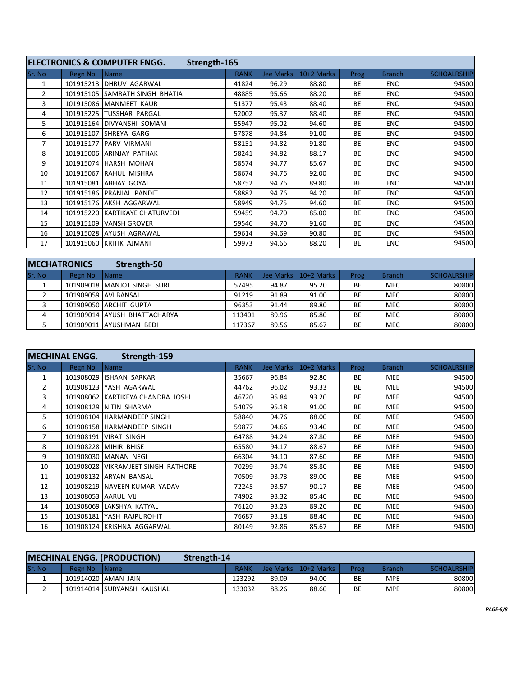|                |           | <b>ELECTRONICS &amp; COMPUTER ENGG.</b><br>Strength-165 |             |           |            |           |               |                    |
|----------------|-----------|---------------------------------------------------------|-------------|-----------|------------|-----------|---------------|--------------------|
| Sr. No         | Regn No   | Name                                                    | <b>RANK</b> | Jee Marks | 10+2 Marks | Prog      | <b>Branch</b> | <b>SCHOALRSHIP</b> |
| $\mathbf{1}$   | 101915213 | <b>DHRUV AGARWAL</b>                                    | 41824       | 96.29     | 88.80      | <b>BE</b> | <b>ENC</b>    | 94500              |
| $\overline{2}$ | 101915105 | <b>SAMRATH SINGH BHATIA</b>                             | 48885       | 95.66     | 88.20      | BE        | <b>ENC</b>    | 94500              |
| 3              | 101915086 | <b>IMANMEET KAUR</b>                                    | 51377       | 95.43     | 88.40      | BE        | <b>ENC</b>    | 94500              |
| 4              | 101915225 | <b>ITUSSHAR PARGAL</b>                                  | 52002       | 95.37     | 88.40      | BE        | <b>ENC</b>    | 94500              |
| 5.             |           | 101915164   DIVYANSHI SOMANI                            | 55947       | 95.02     | 94.60      | BE        | <b>ENC</b>    | 94500              |
| 6              | 101915107 | <b>ISHREYA GARG</b>                                     | 57878       | 94.84     | 91.00      | BE        | <b>ENC</b>    | 94500              |
| $\overline{7}$ | 101915177 | <b>IPARV VIRMANI</b>                                    | 58151       | 94.82     | 91.80      | <b>BE</b> | <b>ENC</b>    | 94500              |
| 8              |           | 101915006 ARINJAY PATHAK                                | 58241       | 94.82     | 88.17      | <b>BE</b> | <b>ENC</b>    | 94500              |
| 9              | 101915074 | HARSH MOHAN                                             | 58574       | 94.77     | 85.67      | BE        | <b>ENC</b>    | 94500              |
| 10             | 101915067 | RAHUL MISHRA                                            | 58674       | 94.76     | 92.00      | BE        | <b>ENC</b>    | 94500              |
| 11             |           | 101915081 ABHAY GOYAL                                   | 58752       | 94.76     | 89.80      | BE        | <b>ENC</b>    | 94500              |
| 12             |           | 101915186 PRANJAL PANDIT                                | 58882       | 94.76     | 94.20      | BE        | <b>ENC</b>    | 94500              |
| 13             |           | 101915176 AKSH AGGARWAL                                 | 58949       | 94.75     | 94.60      | BE        | <b>ENC</b>    | 94500              |
| 14             |           | 101915220 KARTIKAYE CHATURVEDI                          | 59459       | 94.70     | 85.00      | <b>BE</b> | <b>ENC</b>    | 94500              |
| 15             | 101915109 | VANSH GROVER                                            | 59546       | 94.70     | 91.60      | BE        | <b>ENC</b>    | 94500              |
| 16             |           | 101915028 AYUSH AGRAWAL                                 | 59614       | 94.69     | 90.80      | BE        | <b>ENC</b>    | 94500              |
| 17             |           | 101915060 KRITIK AJMANI                                 | 59973       | 94.66     | 88.20      | BE        | <b>ENC</b>    | 94500              |

| <b>IMECHATRONICS</b><br>Strength-50 |         |                              |             |       |                        |           |               |                    |
|-------------------------------------|---------|------------------------------|-------------|-------|------------------------|-----------|---------------|--------------------|
| Sr. No                              | Regn No | IName                        | <b>RANK</b> |       | Uee Marks   10+2 Marks | Prog      | <b>Branch</b> | <b>SCHOALRSHIP</b> |
|                                     |         | 101909018 MANJOT SINGH SURI  | 57495       | 94.87 | 95.20                  | ВE        | <b>MEC</b>    | 80800              |
|                                     |         | 101909059 AVI BANSAL         | 91219       | 91.89 | 91.00                  | BE        | <b>MEC</b>    | 80800              |
|                                     |         | 101909050 ARCHIT GUPTA       | 96353       | 91.44 | 89.80                  | ВE        | <b>MEC</b>    | 80800              |
| 4                                   |         | 101909014 AYUSH BHATTACHARYA | 113401      | 89.96 | 85.80                  | <b>BE</b> | <b>MEC</b>    | 80800              |
|                                     |         | 101909011 AYUSHMAN BEDI      | 117367      | 89.56 | 85.67                  | BE        | <b>MEC</b>    | 80800              |

|                | <b>MECHINAL ENGG.</b> | Strength-159                       |             |           |            |             |               |                    |
|----------------|-----------------------|------------------------------------|-------------|-----------|------------|-------------|---------------|--------------------|
| Sr. No         | Regn No               | <b>Name</b>                        | <b>RANK</b> | Jee Marks | 10+2 Marks | <b>Prog</b> | <b>Branch</b> | <b>SCHOALRSHIP</b> |
| 1              | 101908029             | IISHAAN SARKAR                     | 35667       | 96.84     | 92.80      | <b>BE</b>   | <b>MEE</b>    | 94500              |
| $\overline{2}$ | 101908123             | YASH AGARWAL                       | 44762       | 96.02     | 93.33      | <b>BE</b>   | <b>MEE</b>    | 94500              |
| 3              | 101908062             | IKARTIKEYA CHANDRA JOSHI           | 46720       | 95.84     | 93.20      | <b>BE</b>   | <b>MEE</b>    | 94500              |
| 4              | 101908129             | <b>NITIN SHARMA</b>                | 54079       | 95.18     | 91.00      | BE          | <b>MEE</b>    | 94500              |
| 5              |                       | 101908104 HARMANDEEP SINGH         | 58840       | 94.76     | 88.00      | <b>BE</b>   | <b>MEE</b>    | 94500              |
| 6              |                       | 101908158 HARMANDEEP SINGH         | 59877       | 94.66     | 93.40      | <b>BE</b>   | <b>MEE</b>    | 94500              |
| $\overline{7}$ |                       | 101908191 VIRAT SINGH              | 64788       | 94.24     | 87.80      | BE          | <b>MEE</b>    | 94500              |
| 8              |                       | 101908228 MIHIR BHISE              | 65580       | 94.17     | 88.67      | BE          | MEE           | 94500              |
| 9              |                       | 101908030 MANAN NEGI               | 66304       | 94.10     | 87.60      | BE          | <b>MEE</b>    | 94500              |
| 10             |                       | 101908028 VIKRAMJEET SINGH RATHORE | 70299       | 93.74     | 85.80      | BE          | <b>MEE</b>    | 94500              |
| 11             |                       | 101908132 ARYAN BANSAL             | 70509       | 93.73     | 89.00      | BE          | <b>MEE</b>    | 94500              |
| 12             |                       | 101908219 INAVEEN KUMAR YADAV      | 72245       | 93.57     | 90.17      | BE          | <b>MEE</b>    | 94500              |
| 13             | 101908053 AARUL VIJ   |                                    | 74902       | 93.32     | 85.40      | <b>BE</b>   | <b>MEE</b>    | 94500              |
| 14             |                       | 101908069 LAKSHYA KATYAL           | 76120       | 93.23     | 89.20      | BE          | MEE           | 94500              |
| 15             |                       | 101908181 YASH RAJPUROHIT          | 76687       | 93.18     | 88.40      | BE          | <b>MEE</b>    | 94500              |
| 16             |                       | 101908124 KRISHNA AGGARWAL         | 80149       | 92.86     | 85.67      | BE          | <b>MEE</b>    | 94500              |

| <b>MECHINAL ENGG. (PRODUCTION)</b><br>Strength-14 |         |                            |             |       |                        |           |               |                    |
|---------------------------------------------------|---------|----------------------------|-------------|-------|------------------------|-----------|---------------|--------------------|
| Sr. No                                            | Regn No | <b>IName</b>               | <b>RANK</b> |       | Uee Marks   10+2 Marks | Prog      | <b>Branch</b> | <b>SCHOALRSHIP</b> |
|                                                   |         | 101914020 AMAN JAIN        | 123292      | 89.09 | 94.00                  | BE        | MPE           | 80800              |
|                                                   |         | 101914014 SURYANSH KAUSHAL | 133032      | 88.26 | 88.60                  | <b>BE</b> | <b>MPE</b>    | 80800              |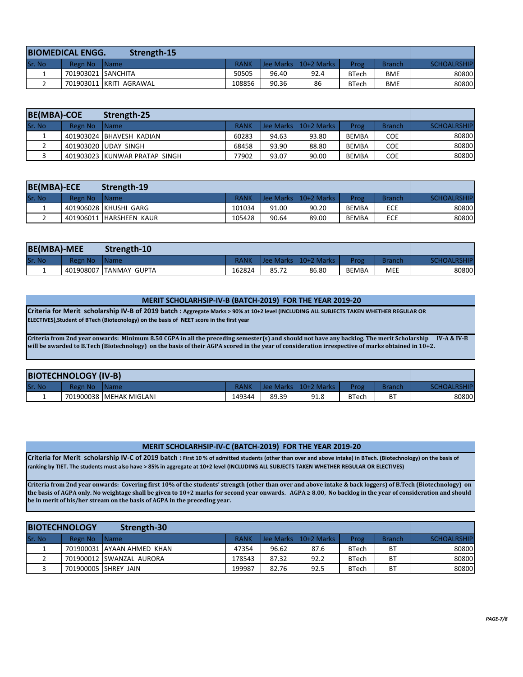| <b>BIOMEDICAL ENGG.</b><br>Strength-15 |                    |                         |             |       |                        |              |               |                    |
|----------------------------------------|--------------------|-------------------------|-------------|-------|------------------------|--------------|---------------|--------------------|
| lSr. No                                | Regn No            | <b>IName</b>            | <b>RANK</b> |       | Uee Marks   10+2 Marks | Prog         | <b>Branch</b> | <b>SCHOALRSHIP</b> |
|                                        | 701903021 SANCHITA |                         | 50505       | 96.40 | 92.4                   | <b>BTech</b> | BME           | 80800              |
|                                        |                    | 701903011 KRITI AGRAWAL | 108856      | 90.36 | 86                     | <b>BTech</b> | BME           | 80800              |

| <b>BE(MBA)-COE</b> |         | Strength-25                   |             |       |                        |              |               |                    |
|--------------------|---------|-------------------------------|-------------|-------|------------------------|--------------|---------------|--------------------|
| Sr. No             | Regn No | <b>Name</b>                   | <b>RANK</b> |       | Uee Marks   10+2 Marks | Prog         | <b>Branch</b> | <b>SCHOALRSHIP</b> |
|                    |         | 401903024 BHAVESH KADIAN      | 60283       | 94.63 | 93.80                  | <b>BEMBA</b> | <b>COE</b>    | 80800              |
|                    |         | 401903020 UDAY SINGH          | 68458       | 93.90 | 88.80                  | <b>BEMBA</b> | <b>COE</b>    | 80800              |
|                    |         | 401903023 KUNWAR PRATAP SINGH | 77902       | 93.07 | 90.00                  | <b>BEMBA</b> | <b>COE</b>    | 80800              |

| <b>BE(MBA)-ECE</b> |         | Strength-19             |             |       |                        |              |               |                    |
|--------------------|---------|-------------------------|-------------|-------|------------------------|--------------|---------------|--------------------|
| Sr. No             | Regn No | <b>IName</b>            | <b>RANK</b> |       | Uee Marks   10+2 Marks | Prog         | <b>Branch</b> | <b>SCHOALRSHIP</b> |
|                    |         | 401906028 KHUSHI GARG   | 101034      | 91.00 | 90.20                  | <b>BEMBA</b> | <b>ECE</b>    | 80800              |
|                    |         | 401906011 HARSHEEN KAUR | 105428      | 90.64 | 89.00                  | <b>BEMBA</b> | ECE           | 80800              |

| <b>BE(MBA)-MEE</b> |           | Strength-10          |             |       |                        |              |               |                    |
|--------------------|-----------|----------------------|-------------|-------|------------------------|--------------|---------------|--------------------|
| Sr. No             | Regn No   | l Name               | <b>RANK</b> |       | Uee Marks   10+2 Marks | Prog         | <b>Branch</b> | <b>SCHOALRSHIP</b> |
|                    | 401908007 | <b>ITANMAY GUPTA</b> | 162824      | 85.72 | 86.80                  | <b>BEMBA</b> | <b>MEE</b>    | 80800              |

### **MERIT SCHOLARHSIP-IV-B (BATCH-2019) FOR THE YEAR 2019-20**

**Criteria for Merit scholarship IV-B of 2019 batch : Aggregate Marks > 90% at 10+2 level (INCLUDING ALL SUBJECTS TAKEN WHETHER REGULAR OR ELECTIVES),Student of BTech (Biotecnology) on the basis of NEET score in the first year** 

**Criteria from 2nd year onwards: Minimum 8.50 CGPA in all the preceding semester(s) and should not have any backlog. The merit Scholarship IV-A & IV-B will be awarded to B.Tech (Biotechnology) on the basis of their AGPA scored in the year of consideration irrespective of marks obtained in 10+2.**

| <b>BIOTECHNOLOGY (IV-B)</b> |         |                         |        |       |                       |              |        |                    |
|-----------------------------|---------|-------------------------|--------|-------|-----------------------|--------------|--------|--------------------|
| <b>Sr. No</b>               | Regn No | l Name                  |        |       | Uee Marks L10+2 Marks | Prog-        | Branch | <b>SCHOALRSHIP</b> |
|                             |         | 701900038 MEHAK MIGLANI | 149344 | 89.39 | 91.8                  | <b>BTech</b> | ВT     | 80800              |

#### **MERIT SCHOLARHSIP-IV-C (BATCH-2019) FOR THE YEAR 2019-20**

**Criteria for Merit scholarship IV-C of 2019 batch : First 10 % of admitted students (other than over and above intake) in BTech. (Biotechnology) on the basis of ranking by TIET. The students must also have > 85% in aggregate at 10+2 level (INCLUDING ALL SUBJECTS TAKEN WHETHER REGULAR OR ELECTIVES)**

**Criteria from 2nd year onwards: Covering first 10% of the students' strength (other than over and above intake & back loggers) of B.Tech (Biotechnology) on the basis of AGPA only. No weightage shall be given to 10+2 marks for second year onwards. AGPA ≥ 8.00, No backlog in the year of consideration and should be in merit of his/her stream on the basis of AGPA in the preceding year.**

| <b>BIOTECHNOLOGY</b><br>Strength-30 |         |                            |             |       |                        |              |               |                    |
|-------------------------------------|---------|----------------------------|-------------|-------|------------------------|--------------|---------------|--------------------|
| Sr. No                              | Regn No | IName                      | <b>RANK</b> |       | Uee Marks   10+2 Marks | Prog         | <b>Branch</b> | <b>SCHOALRSHIP</b> |
|                                     |         | 701900031 AYAAN AHMED KHAN | 47354       | 96.62 | 87.6                   | <b>BTech</b> | <b>BT</b>     | 80800              |
|                                     |         | 701900012 SWANZAL AURORA   | 178543      | 87.32 | 92.2                   | <b>BTech</b> | <b>BT</b>     | 80800              |
|                                     |         | 701900005 SHREY JAIN       | 199987      | 82.76 | 92.5                   | <b>BTech</b> | <b>BT</b>     | 80800              |